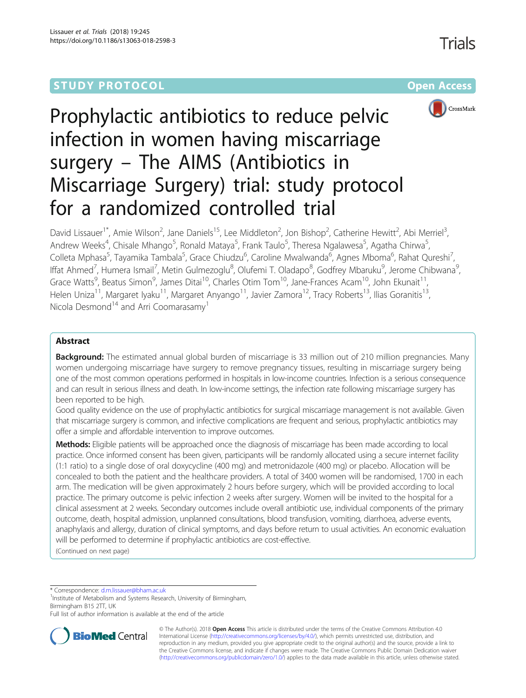# **STUDY PROTOCOL CONSUMING THE RESERVE ACCESS**



# Prophylactic antibiotics to reduce pelvic infection in women having miscarriage surgery – The AIMS (Antibiotics in Miscarriage Surgery) trial: study protocol for a randomized controlled trial

David Lissauer<sup>1\*</sup>, Amie Wilson<sup>2</sup>, Jane Daniels<sup>15</sup>, Lee Middleton<sup>2</sup>, Jon Bishop<sup>2</sup>, Catherine Hewitt<sup>2</sup>, Abi Merriel<sup>3</sup> , Andrew Weeks<sup>4</sup>, Chisale Mhango<sup>5</sup>, Ronald Mataya<sup>5</sup>, Frank Taulo<sup>5</sup>, Theresa Ngalawesa<sup>5</sup>, Agatha Chirwa<sup>5</sup> , Colleta Mphasa<sup>5</sup>, Tayamika Tambala<sup>5</sup>, Grace Chiudzu<sup>6</sup>, Caroline Mwalwanda<sup>6</sup>, Agnes Mboma<sup>6</sup>, Rahat Qureshi<sup>7</sup> , Iffat Ahmed<sup>7</sup>, Humera Ismail<sup>7</sup>, Metin Gulmezoglu<sup>8</sup>, Olufemi T. Oladapo<sup>8</sup>, Godfrey Mbaruku<sup>9</sup>, Jerome Chibwana<sup>s</sup> , Grace Watts<sup>9</sup>, Beatus Simon<sup>9</sup>, James Ditai<sup>10</sup>, Charles Otim Tom<sup>10</sup>, Jane-Frances Acam<sup>10</sup>, John Ekunait<sup>11</sup>, Helen Uniza<sup>11</sup>, Margaret Iyaku<sup>11</sup>, Margaret Anyango<sup>11</sup>, Javier Zamora<sup>12</sup>, Tracy Roberts<sup>13</sup>, Ilias Goranitis<sup>13</sup>, Nicola Desmond<sup>14</sup> and Arri Coomarasamy<sup>1</sup>

# Abstract

Background: The estimated annual global burden of miscarriage is 33 million out of 210 million pregnancies. Many women undergoing miscarriage have surgery to remove pregnancy tissues, resulting in miscarriage surgery being one of the most common operations performed in hospitals in low-income countries. Infection is a serious consequence and can result in serious illness and death. In low-income settings, the infection rate following miscarriage surgery has been reported to be high.

Good quality evidence on the use of prophylactic antibiotics for surgical miscarriage management is not available. Given that miscarriage surgery is common, and infective complications are frequent and serious, prophylactic antibiotics may offer a simple and affordable intervention to improve outcomes.

Methods: Eligible patients will be approached once the diagnosis of miscarriage has been made according to local practice. Once informed consent has been given, participants will be randomly allocated using a secure internet facility (1:1 ratio) to a single dose of oral doxycycline (400 mg) and metronidazole (400 mg) or placebo. Allocation will be concealed to both the patient and the healthcare providers. A total of 3400 women will be randomised, 1700 in each arm. The medication will be given approximately 2 hours before surgery, which will be provided according to local practice. The primary outcome is pelvic infection 2 weeks after surgery. Women will be invited to the hospital for a clinical assessment at 2 weeks. Secondary outcomes include overall antibiotic use, individual components of the primary outcome, death, hospital admission, unplanned consultations, blood transfusion, vomiting, diarrhoea, adverse events, anaphylaxis and allergy, duration of clinical symptoms, and days before return to usual activities. An economic evaluation will be performed to determine if prophylactic antibiotics are cost-effective.

(Continued on next page)

\* Correspondence: [d.m.lissauer@bham.ac.uk](mailto:d.m.lissauer@bham.ac.uk) <sup>1</sup>

<sup>1</sup>Institute of Metabolism and Systems Research, University of Birmingham, Birmingham B15 2TT, UK

Full list of author information is available at the end of the article



© The Author(s). 2018 Open Access This article is distributed under the terms of the Creative Commons Attribution 4.0 International License [\(http://creativecommons.org/licenses/by/4.0/](http://creativecommons.org/licenses/by/4.0/)), which permits unrestricted use, distribution, and reproduction in any medium, provided you give appropriate credit to the original author(s) and the source, provide a link to the Creative Commons license, and indicate if changes were made. The Creative Commons Public Domain Dedication waiver [\(http://creativecommons.org/publicdomain/zero/1.0/](http://creativecommons.org/publicdomain/zero/1.0/)) applies to the data made available in this article, unless otherwise stated.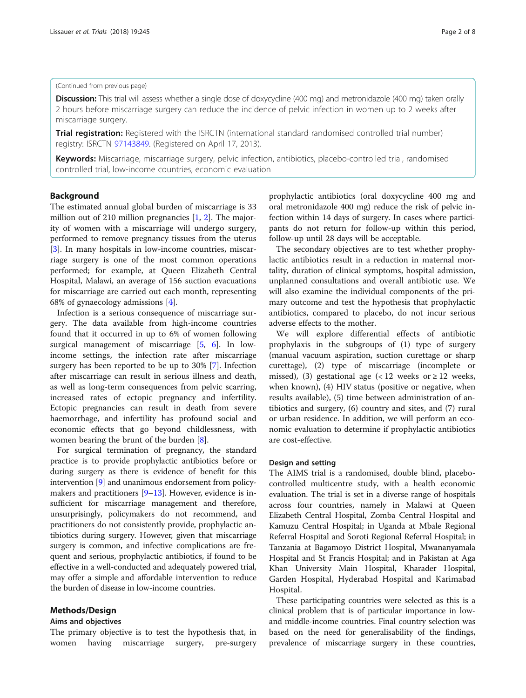# (Continued from previous page)

Discussion: This trial will assess whether a single dose of doxycycline (400 mg) and metronidazole (400 mg) taken orally 2 hours before miscarriage surgery can reduce the incidence of pelvic infection in women up to 2 weeks after miscarriage surgery.

Trial registration: Registered with the ISRCTN (international standard randomised controlled trial number) registry: ISRCTN [97143849.](http://www.isrctn.com/ISRCTN97143849) (Registered on April 17, 2013).

Keywords: Miscarriage, miscarriage surgery, pelvic infection, antibiotics, placebo-controlled trial, randomised controlled trial, low-income countries, economic evaluation

# Background

The estimated annual global burden of miscarriage is 33 million out of 210 million pregnancies [[1,](#page-6-0) [2\]](#page-6-0). The majority of women with a miscarriage will undergo surgery, performed to remove pregnancy tissues from the uterus [[3\]](#page-6-0). In many hospitals in low-income countries, miscarriage surgery is one of the most common operations performed; for example, at Queen Elizabeth Central Hospital, Malawi, an average of 156 suction evacuations for miscarriage are carried out each month, representing 68% of gynaecology admissions [[4\]](#page-6-0).

Infection is a serious consequence of miscarriage surgery. The data available from high-income countries found that it occurred in up to 6% of women following surgical management of miscarriage [[5,](#page-6-0) [6\]](#page-6-0). In lowincome settings, the infection rate after miscarriage surgery has been reported to be up to 30% [\[7](#page-6-0)]. Infection after miscarriage can result in serious illness and death, as well as long-term consequences from pelvic scarring, increased rates of ectopic pregnancy and infertility. Ectopic pregnancies can result in death from severe haemorrhage, and infertility has profound social and economic effects that go beyond childlessness, with women bearing the brunt of the burden [\[8](#page-7-0)].

For surgical termination of pregnancy, the standard practice is to provide prophylactic antibiotics before or during surgery as there is evidence of benefit for this intervention [\[9](#page-7-0)] and unanimous endorsement from policy-makers and practitioners [\[9](#page-7-0)–[13](#page-7-0)]. However, evidence is insufficient for miscarriage management and therefore, unsurprisingly, policymakers do not recommend, and practitioners do not consistently provide, prophylactic antibiotics during surgery. However, given that miscarriage surgery is common, and infective complications are frequent and serious, prophylactic antibiotics, if found to be effective in a well-conducted and adequately powered trial, may offer a simple and affordable intervention to reduce the burden of disease in low-income countries.

# Methods/Design

## Aims and objectives

The primary objective is to test the hypothesis that, in women having miscarriage surgery, pre-surgery prophylactic antibiotics (oral doxycycline 400 mg and oral metronidazole 400 mg) reduce the risk of pelvic infection within 14 days of surgery. In cases where participants do not return for follow-up within this period, follow-up until 28 days will be acceptable.

The secondary objectives are to test whether prophylactic antibiotics result in a reduction in maternal mortality, duration of clinical symptoms, hospital admission, unplanned consultations and overall antibiotic use. We will also examine the individual components of the primary outcome and test the hypothesis that prophylactic antibiotics, compared to placebo, do not incur serious adverse effects to the mother.

We will explore differential effects of antibiotic prophylaxis in the subgroups of (1) type of surgery (manual vacuum aspiration, suction curettage or sharp curettage), (2) type of miscarriage (incomplete or missed), (3) gestational age  $\left( < 12 \right)$  weeks or  $\geq 12$  weeks, when known), (4) HIV status (positive or negative, when results available), (5) time between administration of antibiotics and surgery, (6) country and sites, and (7) rural or urban residence. In addition, we will perform an economic evaluation to determine if prophylactic antibiotics are cost-effective.

## Design and setting

The AIMS trial is a randomised, double blind, placebocontrolled multicentre study, with a health economic evaluation. The trial is set in a diverse range of hospitals across four countries, namely in Malawi at Queen Elizabeth Central Hospital, Zomba Central Hospital and Kamuzu Central Hospital; in Uganda at Mbale Regional Referral Hospital and Soroti Regional Referral Hospital; in Tanzania at Bagamoyo District Hospital, Mwananyamala Hospital and St Francis Hospital; and in Pakistan at Aga Khan University Main Hospital, Kharader Hospital, Garden Hospital, Hyderabad Hospital and Karimabad Hospital.

These participating countries were selected as this is a clinical problem that is of particular importance in lowand middle-income countries. Final country selection was based on the need for generalisability of the findings, prevalence of miscarriage surgery in these countries,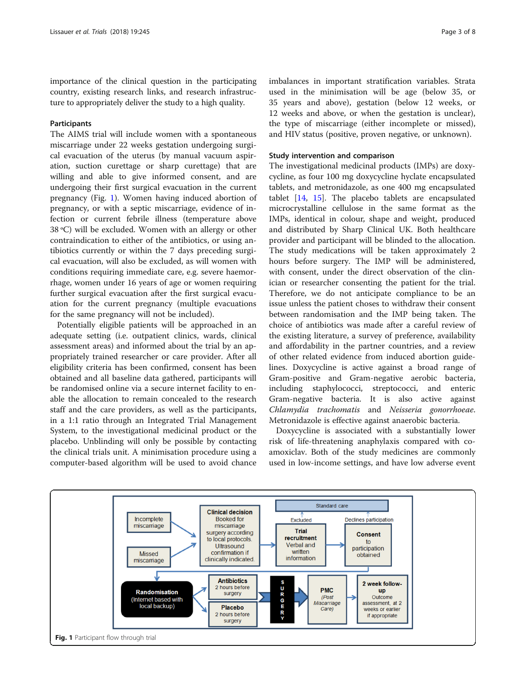<span id="page-2-0"></span>importance of the clinical question in the participating country, existing research links, and research infrastructure to appropriately deliver the study to a high quality.

# Participants

The AIMS trial will include women with a spontaneous miscarriage under 22 weeks gestation undergoing surgical evacuation of the uterus (by manual vacuum aspiration, suction curettage or sharp curettage) that are willing and able to give informed consent, and are undergoing their first surgical evacuation in the current pregnancy (Fig. 1). Women having induced abortion of pregnancy, or with a septic miscarriage, evidence of infection or current febrile illness (temperature above 38 ºC) will be excluded. Women with an allergy or other contraindication to either of the antibiotics, or using antibiotics currently or within the 7 days preceding surgical evacuation, will also be excluded, as will women with conditions requiring immediate care, e.g. severe haemorrhage, women under 16 years of age or women requiring further surgical evacuation after the first surgical evacuation for the current pregnancy (multiple evacuations for the same pregnancy will not be included).

Potentially eligible patients will be approached in an adequate setting (i.e. outpatient clinics, wards, clinical assessment areas) and informed about the trial by an appropriately trained researcher or care provider. After all eligibility criteria has been confirmed, consent has been obtained and all baseline data gathered, participants will be randomised online via a secure internet facility to enable the allocation to remain concealed to the research staff and the care providers, as well as the participants, in a 1:1 ratio through an Integrated Trial Management System, to the investigational medicinal product or the placebo. Unblinding will only be possible by contacting the clinical trials unit. A minimisation procedure using a computer-based algorithm will be used to avoid chance imbalances in important stratification variables. Strata used in the minimisation will be age (below 35, or 35 years and above), gestation (below 12 weeks, or 12 weeks and above, or when the gestation is unclear), the type of miscarriage (either incomplete or missed), and HIV status (positive, proven negative, or unknown).

# Study intervention and comparison

The investigational medicinal products (IMPs) are doxycycline, as four 100 mg doxycycline hyclate encapsulated tablets, and metronidazole, as one 400 mg encapsulated tablet [[14](#page-7-0), [15](#page-7-0)]. The placebo tablets are encapsulated microcrystalline cellulose in the same format as the IMPs, identical in colour, shape and weight, produced and distributed by Sharp Clinical UK. Both healthcare provider and participant will be blinded to the allocation. The study medications will be taken approximately 2 hours before surgery. The IMP will be administered, with consent, under the direct observation of the clinician or researcher consenting the patient for the trial. Therefore, we do not anticipate compliance to be an issue unless the patient choses to withdraw their consent between randomisation and the IMP being taken. The choice of antibiotics was made after a careful review of the existing literature, a survey of preference, availability and affordability in the partner countries, and a review of other related evidence from induced abortion guidelines. Doxycycline is active against a broad range of Gram-positive and Gram-negative aerobic bacteria, including staphylococci, streptococci, and enteric Gram-negative bacteria. It is also active against Chlamydia trachomatis and Neisseria gonorrhoeae. Metronidazole is effective against anaerobic bacteria.

Doxycycline is associated with a substantially lower risk of life-threatening anaphylaxis compared with coamoxiclav. Both of the study medicines are commonly used in low-income settings, and have low adverse event

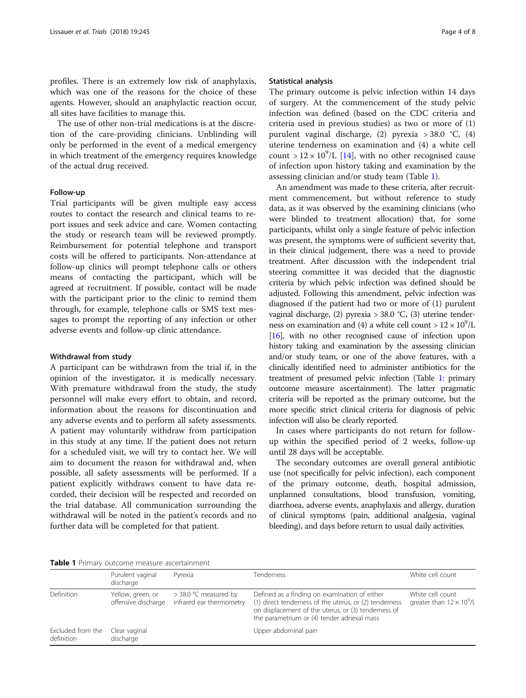profiles. There is an extremely low risk of anaphylaxis, which was one of the reasons for the choice of these agents. However, should an anaphylactic reaction occur, all sites have facilities to manage this.

The use of other non-trial medications is at the discretion of the care-providing clinicians. Unblinding will only be performed in the event of a medical emergency in which treatment of the emergency requires knowledge of the actual drug received.

# Follow-up

Trial participants will be given multiple easy access routes to contact the research and clinical teams to report issues and seek advice and care. Women contacting the study or research team will be reviewed promptly. Reimbursement for potential telephone and transport costs will be offered to participants. Non-attendance at follow-up clinics will prompt telephone calls or others means of contacting the participant, which will be agreed at recruitment. If possible, contact will be made with the participant prior to the clinic to remind them through, for example, telephone calls or SMS text messages to prompt the reporting of any infection or other adverse events and follow-up clinic attendance.

#### Withdrawal from study

A participant can be withdrawn from the trial if, in the opinion of the investigator, it is medically necessary. With premature withdrawal from the study, the study personnel will make every effort to obtain, and record, information about the reasons for discontinuation and any adverse events and to perform all safety assessments. A patient may voluntarily withdraw from participation in this study at any time. If the patient does not return for a scheduled visit, we will try to contact her. We will aim to document the reason for withdrawal and, when possible, all safety assessments will be performed. If a patient explicitly withdraws consent to have data recorded, their decision will be respected and recorded on the trial database. All communication surrounding the withdrawal will be noted in the patient's records and no further data will be completed for that patient.

#### Statistical analysis

The primary outcome is pelvic infection within 14 days of surgery. At the commencement of the study pelvic infection was defined (based on the CDC criteria and criteria used in previous studies) as two or more of (1) purulent vaginal discharge, (2) pyrexia > 38.0 °C, (4) uterine tenderness on examination and (4) a white cell count >  $12 \times 10^9$ /L [\[14](#page-7-0)], with no other recognised cause of infection upon history taking and examination by the assessing clinician and/or study team (Table 1).

An amendment was made to these criteria, after recruitment commencement, but without reference to study data, as it was observed by the examining clinicians (who were blinded to treatment allocation) that, for some participants, whilst only a single feature of pelvic infection was present, the symptoms were of sufficient severity that, in their clinical judgement, there was a need to provide treatment. After discussion with the independent trial steering committee it was decided that the diagnostic criteria by which pelvic infection was defined should be adjusted. Following this amendment, pelvic infection was diagnosed if the patient had two or more of (1) purulent vaginal discharge, (2) pyrexia > 38.0 °C, (3) uterine tenderness on examination and (4) a white cell count  $> 12 \times 10^9$ /L [[16](#page-7-0)], with no other recognised cause of infection upon history taking and examination by the assessing clinician and/or study team, or one of the above features, with a clinically identified need to administer antibiotics for the treatment of presumed pelvic infection (Table 1: primary outcome measure ascertainment). The latter pragmatic criteria will be reported as the primary outcome, but the more specific strict clinical criteria for diagnosis of pelvic infection will also be clearly reported.

In cases where participants do not return for followup within the specified period of 2 weeks, follow-up until 28 days will be acceptable.

The secondary outcomes are overall general antibiotic use (not specifically for pelvic infection), each component of the primary outcome, death, hospital admission, unplanned consultations, blood transfusion, vomiting, diarrhoea, adverse events, anaphylaxis and allergy, duration of clinical symptoms (pain, additional analgesia, vaginal bleeding), and days before return to usual daily activities.

|  |  |  |  | Table 1 Primary outcome measure ascertainment |
|--|--|--|--|-----------------------------------------------|
|--|--|--|--|-----------------------------------------------|

|                                 | Purulent vaginal<br>discharge                                                                 | Pyrexia | Tenderness                                                                                                                                                                                                   | White cell count                                     |
|---------------------------------|-----------------------------------------------------------------------------------------------|---------|--------------------------------------------------------------------------------------------------------------------------------------------------------------------------------------------------------------|------------------------------------------------------|
| <b>Definition</b>               | > 38.0 °C measured by<br>Yellow, green, or<br>infrared ear thermometry<br>offensive discharge |         | Defined as a finding on examination of either<br>(1) direct tenderness of the uterus, or (2) tenderness<br>on displacement of the uterus, or (3) tenderness of<br>the parametrium or (4) tender adnexal mass | White cell count<br>greater than $12 \times 10^9$ /L |
| Excluded from the<br>definition | Clear vaginal<br>discharge                                                                    |         | Upper abdominal pain                                                                                                                                                                                         |                                                      |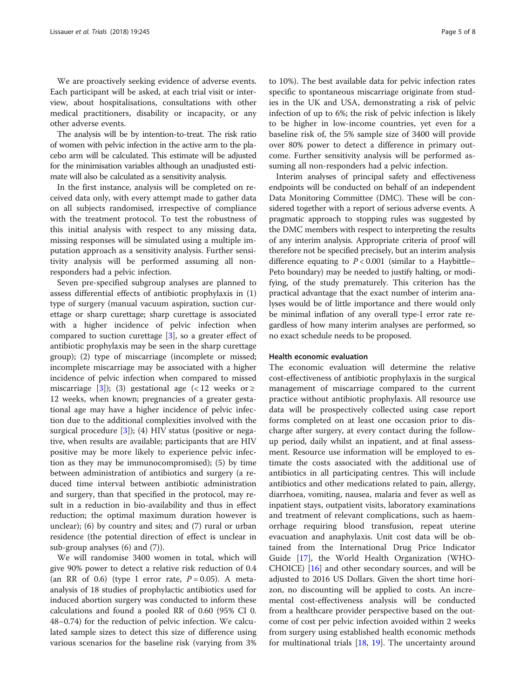We are proactively seeking evidence of adverse events. Each participant will be asked, at each trial visit or interview, about hospitalisations, consultations with other medical practitioners, disability or incapacity, or any other adverse events.

The analysis will be by intention-to-treat. The risk ratio of women with pelvic infection in the active arm to the placebo arm will be calculated. This estimate will be adjusted for the minimisation variables although an unadjusted estimate will also be calculated as a sensitivity analysis.

In the first instance, analysis will be completed on received data only, with every attempt made to gather data on all subjects randomised, irrespective of compliance with the treatment protocol. To test the robustness of this initial analysis with respect to any missing data, missing responses will be simulated using a multiple imputation approach as a sensitivity analysis. Further sensitivity analysis will be performed assuming all nonresponders had a pelvic infection.

Seven pre-specified subgroup analyses are planned to assess differential effects of antibiotic prophylaxis in (1) type of surgery (manual vacuum aspiration, suction curettage or sharp curettage; sharp curettage is associated with a higher incidence of pelvic infection when compared to suction curettage [\[3](#page-6-0)], so a greater effect of antibiotic prophylaxis may be seen in the sharp curettage group); (2) type of miscarriage (incomplete or missed; incomplete miscarriage may be associated with a higher incidence of pelvic infection when compared to missed miscarriage [\[3](#page-6-0)]); (3) gestational age  $\left( < 12 \text{ weeks} \text{ or } \geq \right)$ 12 weeks, when known; pregnancies of a greater gestational age may have a higher incidence of pelvic infection due to the additional complexities involved with the surgical procedure [\[3](#page-6-0)]); (4) HIV status (positive or negative, when results are available; participants that are HIV positive may be more likely to experience pelvic infection as they may be immunocompromised); (5) by time between administration of antibiotics and surgery (a reduced time interval between antibiotic administration and surgery, than that specified in the protocol, may result in a reduction in bio-availability and thus in effect reduction; the optimal maximum duration however is unclear); (6) by country and sites; and (7) rural or urban residence (the potential direction of effect is unclear in sub-group analyses (6) and (7)).

We will randomise 3400 women in total, which will give 90% power to detect a relative risk reduction of 0.4 (an RR of 0.6) (type I error rate,  $P = 0.05$ ). A metaanalysis of 18 studies of prophylactic antibiotics used for induced abortion surgery was conducted to inform these calculations and found a pooled RR of 0.60 (95% CI 0. 48–0.74) for the reduction of pelvic infection. We calculated sample sizes to detect this size of difference using various scenarios for the baseline risk (varying from 3%

to 10%). The best available data for pelvic infection rates specific to spontaneous miscarriage originate from studies in the UK and USA, demonstrating a risk of pelvic infection of up to 6%; the risk of pelvic infection is likely to be higher in low-income countries, yet even for a baseline risk of, the 5% sample size of 3400 will provide over 80% power to detect a difference in primary outcome. Further sensitivity analysis will be performed assuming all non-responders had a pelvic infection.

Interim analyses of principal safety and effectiveness endpoints will be conducted on behalf of an independent Data Monitoring Committee (DMC). These will be considered together with a report of serious adverse events. A pragmatic approach to stopping rules was suggested by the DMC members with respect to interpreting the results of any interim analysis. Appropriate criteria of proof will therefore not be specified precisely, but an interim analysis difference equating to  $P < 0.001$  (similar to a Haybittle– Peto boundary) may be needed to justify halting, or modifying, of the study prematurely. This criterion has the practical advantage that the exact number of interim analyses would be of little importance and there would only be minimal inflation of any overall type-I error rate regardless of how many interim analyses are performed, so no exact schedule needs to be proposed.

# Health economic evaluation

The economic evaluation will determine the relative cost-effectiveness of antibiotic prophylaxis in the surgical management of miscarriage compared to the current practice without antibiotic prophylaxis. All resource use data will be prospectively collected using case report forms completed on at least one occasion prior to discharge after surgery, at every contact during the followup period, daily whilst an inpatient, and at final assessment. Resource use information will be employed to estimate the costs associated with the additional use of antibiotics in all participating centres. This will include antibiotics and other medications related to pain, allergy, diarrhoea, vomiting, nausea, malaria and fever as well as inpatient stays, outpatient visits, laboratory examinations and treatment of relevant complications, such as haemorrhage requiring blood transfusion, repeat uterine evacuation and anaphylaxis. Unit cost data will be obtained from the International Drug Price Indicator Guide [\[17\]](#page-7-0), the World Health Organization (WHO-CHOICE) [[16\]](#page-7-0) and other secondary sources, and will be adjusted to 2016 US Dollars. Given the short time horizon, no discounting will be applied to costs. An incremental cost-effectiveness analysis will be conducted from a healthcare provider perspective based on the outcome of cost per pelvic infection avoided within 2 weeks from surgery using established health economic methods for multinational trials [\[18](#page-7-0), [19\]](#page-7-0). The uncertainty around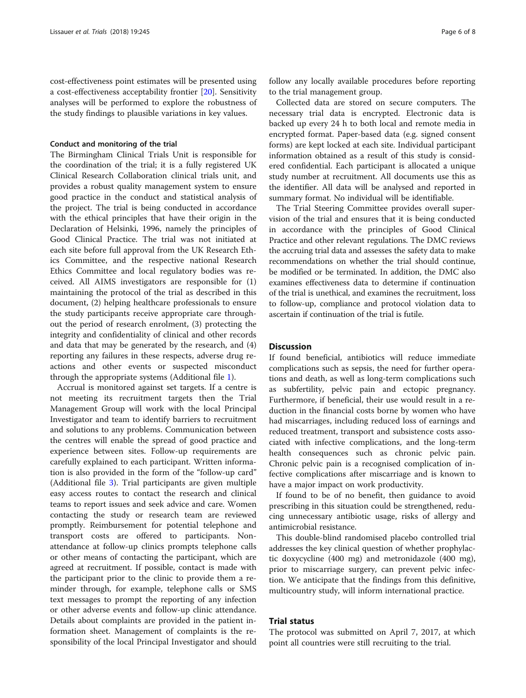cost-effectiveness point estimates will be presented using a cost-effectiveness acceptability frontier [\[20](#page-7-0)]. Sensitivity analyses will be performed to explore the robustness of the study findings to plausible variations in key values.

### Conduct and monitoring of the trial

The Birmingham Clinical Trials Unit is responsible for the coordination of the trial; it is a fully registered UK Clinical Research Collaboration clinical trials unit, and provides a robust quality management system to ensure good practice in the conduct and statistical analysis of the project. The trial is being conducted in accordance with the ethical principles that have their origin in the Declaration of Helsinki, 1996, namely the principles of Good Clinical Practice. The trial was not initiated at each site before full approval from the UK Research Ethics Committee, and the respective national Research Ethics Committee and local regulatory bodies was received. All AIMS investigators are responsible for (1) maintaining the protocol of the trial as described in this document, (2) helping healthcare professionals to ensure the study participants receive appropriate care throughout the period of research enrolment, (3) protecting the integrity and confidentiality of clinical and other records and data that may be generated by the research, and (4) reporting any failures in these respects, adverse drug reactions and other events or suspected misconduct through the appropriate systems (Additional file [1\)](#page-6-0).

Accrual is monitored against set targets. If a centre is not meeting its recruitment targets then the Trial Management Group will work with the local Principal Investigator and team to identify barriers to recruitment and solutions to any problems. Communication between the centres will enable the spread of good practice and experience between sites. Follow-up requirements are carefully explained to each participant. Written information is also provided in the form of the "follow-up card" (Additional file [3\)](#page-6-0). Trial participants are given multiple easy access routes to contact the research and clinical teams to report issues and seek advice and care. Women contacting the study or research team are reviewed promptly. Reimbursement for potential telephone and transport costs are offered to participants. Nonattendance at follow-up clinics prompts telephone calls or other means of contacting the participant, which are agreed at recruitment. If possible, contact is made with the participant prior to the clinic to provide them a reminder through, for example, telephone calls or SMS text messages to prompt the reporting of any infection or other adverse events and follow-up clinic attendance. Details about complaints are provided in the patient information sheet. Management of complaints is the responsibility of the local Principal Investigator and should follow any locally available procedures before reporting to the trial management group.

Collected data are stored on secure computers. The necessary trial data is encrypted. Electronic data is backed up every 24 h to both local and remote media in encrypted format. Paper-based data (e.g. signed consent forms) are kept locked at each site. Individual participant information obtained as a result of this study is considered confidential. Each participant is allocated a unique study number at recruitment. All documents use this as the identifier. All data will be analysed and reported in summary format. No individual will be identifiable.

The Trial Steering Committee provides overall supervision of the trial and ensures that it is being conducted in accordance with the principles of Good Clinical Practice and other relevant regulations. The DMC reviews the accruing trial data and assesses the safety data to make recommendations on whether the trial should continue, be modified or be terminated. In addition, the DMC also examines effectiveness data to determine if continuation of the trial is unethical, and examines the recruitment, loss to follow-up, compliance and protocol violation data to ascertain if continuation of the trial is futile.

# **Discussion**

If found beneficial, antibiotics will reduce immediate complications such as sepsis, the need for further operations and death, as well as long-term complications such as subfertility, pelvic pain and ectopic pregnancy. Furthermore, if beneficial, their use would result in a reduction in the financial costs borne by women who have had miscarriages, including reduced loss of earnings and reduced treatment, transport and subsistence costs associated with infective complications, and the long-term health consequences such as chronic pelvic pain. Chronic pelvic pain is a recognised complication of infective complications after miscarriage and is known to have a major impact on work productivity.

If found to be of no benefit, then guidance to avoid prescribing in this situation could be strengthened, reducing unnecessary antibiotic usage, risks of allergy and antimicrobial resistance.

This double-blind randomised placebo controlled trial addresses the key clinical question of whether prophylactic doxycycline (400 mg) and metronidazole (400 mg), prior to miscarriage surgery, can prevent pelvic infection. We anticipate that the findings from this definitive, multicountry study, will inform international practice.

# Trial status

The protocol was submitted on April 7, 2017, at which point all countries were still recruiting to the trial.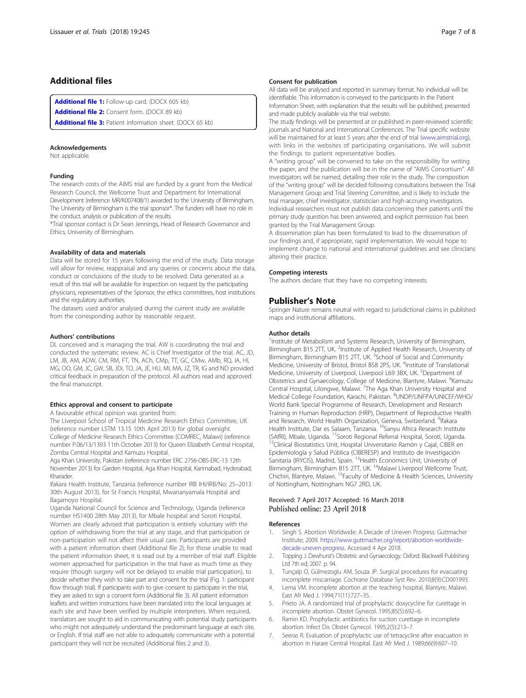# <span id="page-6-0"></span>Additional files

[Additional file 1:](https://doi.org/10.1186/s13063-018-2598-3) Follow-up card. (DOCX 605 kb) [Additional file 2:](https://doi.org/10.1186/s13063-018-2598-3) Consent form. (DOCX 89 kb) [Additional file 3:](https://doi.org/10.1186/s13063-018-2598-3) Patient information sheet. (DOCX 65 kb)

#### Acknowledgements

Not applicable.

# Funding

The research costs of the AIMS trial are funded by a grant from the Medical Research Council, the Wellcome Trust and Department for International Development (reference MR/K007408/1) awarded to the University of Birmingham. The University of Birmingham is the trial sponsor\*. The funders will have no role in the conduct, analysis or publication of the results.

\*Trial sponsor contact is Dr Sean Jennings, Head of Research Governance and Ethics, University of Birmingham.

# Availability of data and materials

Data will be stored for 15 years following the end of the study. Data storage will allow for review, reappraisal and any queries or concerns about the data, conduct or conclusions of the study to be resolved. Data generated as a result of this trial will be available for inspection on request by the participating physicians, representatives of the Sponsor, the ethics committees, host institutions and the regulatory authorities.

The datasets used and/or analysed during the current study are available from the corresponding author by reasonable request.

#### Authors' contributions

DL conceived and is managing the trial. AW is coordinating the trial and conducted the systematic review. AC is Chief Investigator of the trial. AC, JD, LM, JB, AM, ADW, CM, RM, FT, TN, ACh, CMp, TT, GC, CMw, AMb, RQ, IA, HI, MG, OO, GM, JC, GW, SB, JDi, TO, JA, JE, HU, MI, MA, JZ, TR, IG and ND provided critical feedback in preparation of the protocol. All authors read and approved the final manuscript.

#### Ethics approval and consent to participate

A favourable ethical opinion was granted from:

The Liverpool School of Tropical Medicine Research Ethics Committee, UK (reference number LSTM 13.15 10th April 2013) for global oversight. College of Medicine Research Ethics Committee (COMREC, Malawi) (reference number P.06/13/1393 11th October 2013) for Queen Elizabeth Central Hospital, Zomba Central Hospital and Kamuzu Hospital.

Aga Khan University, Pakistan (reference number ERC 2756-OBS-ERC-13 12th November 2013) for Garden Hospital, Aga Khan Hospital, Karimabad, Hyderabad, Kharader.

Ifakara Health Institute, Tanzania (reference number IRB IHI/IRB/No: 25–2013 30th August 2013), for St Francis Hospital, Mwananyamala Hospital and Bagamoyo Hospital.

Uganda National Council for Science and Technology, Uganda (reference number HS1400 28th May 2013), for Mbale hospital and Soroti Hospital. Women are clearly advised that participation is entirely voluntary with the option of withdrawing from the trial at any stage, and that participation or non-participation will not affect their usual care. Participants are provided with a patient information sheet (Additional file 2); for those unable to read the patient information sheet, it is read out by a member of trial staff. Eligible women approached for participation in the trial have as much time as they require (though surgery will not be delayed to enable trial participation), to decide whether they wish to take part and consent for the trial (Fig. [1:](#page-2-0) participant flow through trial). If participants wish to give consent to participate in the trial, they are asked to sign a consent form (Additional file 3). All patient information leaflets and written instructions have been translated into the local languages at each site and have been verified by multiple interpreters. When required, translators are sought to aid in communicating with potential study participants who might not adequately understand the predominant language at each site, or English. If trial staff are not able to adequately communicate with a potential participant they will not be recruited (Additional files 2 and 3).

#### Consent for publication

All data will be analysed and reported in summary format. No individual will be identifiable. This information is conveyed to the participants in the Patient Information Sheet, with explanation that the results will be published, presented and made publicly available via the trial website.

The study findings will be presented at or published in peer-reviewed scientific journals and National and International Conferences. The Trial specific website will be maintained for at least 5 years after the end of trial ([www.aimstrial.org\)](http://www.aimstrial.org), with links in the websites of participating organisations. We will submit the findings to patient representative bodies.

A "writing group" will be convened to take on the responsibility for writing the paper, and the publication will be in the name of "AIMS Consortium". All investigators will be named, detailing their role in the study. The composition of the "writing group" will be decided following consultations between the Trial Management Group and Trial Steering Committee, and is likely to include the trial manager, chief investigator, statistician and high-accruing investigators. Individual researchers must not publish data concerning their patients until the primary study question has been answered, and explicit permission has been granted by the Trial Management Group.

A dissemination plan has been formulated to lead to the dissemination of our findings and, if appropriate, rapid implementation. We would hope to implement change to national and international guidelines and see clinicians altering their practice.

#### Competing interests

The authors declare that they have no competing interests.

# Publisher's Note

Springer Nature remains neutral with regard to jurisdictional claims in published maps and institutional affiliations.

#### Author details

<sup>1</sup>Institute of Metabolism and Systems Research, University of Birmingham Birmingham B15 2TT, UK. <sup>2</sup>Institute of Applied Health Research, University of Birmingham, Birmingham B15 2TT, UK.<sup>3</sup>School of Social and Community Medicine, University of Bristol, Bristol BS8 2PS, UK. <sup>4</sup>Institute of Translational Medicine, University of Liverpool, Liverpool L69 3BX, UK. <sup>5</sup>Department of Obstetrics and Gynaecology, College of Medicine, Blantyre, Malawi. <sup>6</sup>Kamuzu Central Hospital, Lilongwe, Malawi.<sup>7</sup>The Aga Khan University Hospital and Medical College Foundation, Karachi, Pakistan. <sup>8</sup>UNDP/UNFPA/UNICEF/WHO/ World Bank Special Programme of Research, Development and Research Training in Human Reproduction (HRP), Department of Reproductive Health and Research, World Health Organization, Geneva, Switzerland. <sup>9</sup>lfakara Health Institute, Dar es Salaam, Tanzania. <sup>10</sup>Sanyu Africa Research Institute (SAfRI), Mbale, Uganda. <sup>11</sup>Soroti Regional Referral Hospital, Soroti, Uganda.<br><sup>12</sup>Clinical Biostatistics Unit, Hospital Universitario Ramón y Cajal, CIBER en Epidemiología y Salud Pública (CIBERESP) and Instituto de Investigación Sanitaria (IRYCIS), Madrid, Spain. <sup>13</sup>Health Economics Unit, University of Birmingham, Birmingham B15 2TT, UK.<sup>14</sup>Malawi Liverpool Wellcome Trust. Chichiri, Blantyre, Malawi. <sup>15</sup>Faculty of Medicine & Health Sciences, University of Nottingham, Nottingham NG7 2RD, UK.

# Received: 7 April 2017 Accepted: 16 March 2018 Published online: 23 April 2018

#### References

- 1. Singh S. Abortion Worldwide: A Decade of Uneven Progress: Guttmacher Institute; 2009. [https://www.guttmacher.org/report/abortion-worldwide](https://www.guttmacher.org/report/abortion-worldwide-decade-uneven-progress)[decade-uneven-progress](https://www.guttmacher.org/report/abortion-worldwide-decade-uneven-progress). Accessed 4 Apr 2018.
- 2. Topping J. Dewhurst's Obstetric and Gynaecology. Oxford: Blackwell Publishing Ltd 7th ed; 2007. p. 94.
- Tunçalp O, Gülmezoglu AM, Souza JP. Surgical procedures for evacuating incomplete miscarriage. Cochrane Database Syst Rev. 2010;8(9):CD001993.
- 4. Lema VM. Incomplete abortion at the teaching hospital, Blantyre, Malawi. East Afr Med J. 1994;71(11):727–35.
- 5. Prieto JA. A randomized trial of prophylactic doxycycline for curettage in incomplete abortion. Obstet Gynecol. 1995;85(5):692–6.
- 6. Ramin KD. Prophylactic antibiotics for suction curettage in incomplete abortion. Infect Dis Obstet Gynecol. 1995;2(5):213–7.
- 7. Seeras R. Evaluation of prophylactic use of tetracycline after evacuation in abortion in Harare Central Hospital. East Afr Med J. 1989;66(9):607–10.